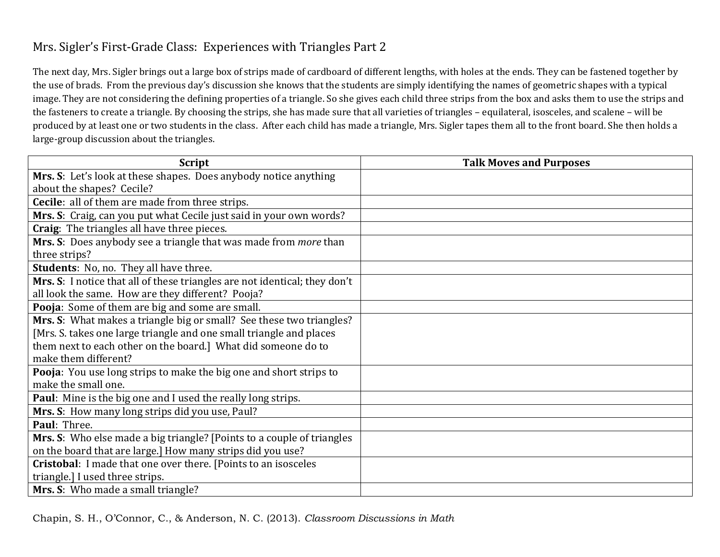## Mrs. Sigler's First-Grade Class: Experiences with Triangles Part 2

The next day, Mrs. Sigler brings out a large box of strips made of cardboard of different lengths, with holes at the ends. They can be fastened together by the use of brads. From the previous day's discussion she knows that the students are simply identifying the names of geometric shapes with a typical image. They are not considering the defining properties of a triangle. So she gives each child three strips from the box and asks them to use the strips and the fasteners to create a triangle. By choosing the strips, she has made sure that all varieties of triangles – equilateral, isosceles, and scalene – will be produced by at least one or two students in the class. After each child has made a triangle, Mrs. Sigler tapes them all to the front board. She then holds a large-group discussion about the triangles.

| <b>Script</b>                                                              | <b>Talk Moves and Purposes</b> |
|----------------------------------------------------------------------------|--------------------------------|
| Mrs. S: Let's look at these shapes. Does anybody notice anything           |                                |
| about the shapes? Cecile?                                                  |                                |
| <b>Cecile:</b> all of them are made from three strips.                     |                                |
| Mrs. S: Craig, can you put what Cecile just said in your own words?        |                                |
| Craig: The triangles all have three pieces.                                |                                |
| Mrs. S: Does anybody see a triangle that was made from more than           |                                |
| three strips?                                                              |                                |
| <b>Students:</b> No, no. They all have three.                              |                                |
| Mrs. S: I notice that all of these triangles are not identical; they don't |                                |
| all look the same. How are they different? Pooja?                          |                                |
| Pooja: Some of them are big and some are small.                            |                                |
| Mrs. S: What makes a triangle big or small? See these two triangles?       |                                |
| [Mrs. S. takes one large triangle and one small triangle and places        |                                |
| them next to each other on the board.] What did someone do to              |                                |
| make them different?                                                       |                                |
| Pooja: You use long strips to make the big one and short strips to         |                                |
| make the small one.                                                        |                                |
| <b>Paul:</b> Mine is the big one and I used the really long strips.        |                                |
| Mrs. S: How many long strips did you use, Paul?                            |                                |
| Paul: Three.                                                               |                                |
| Mrs. S: Who else made a big triangle? [Points to a couple of triangles     |                                |
| on the board that are large.] How many strips did you use?                 |                                |
| Cristobal: I made that one over there. [Points to an isosceles             |                                |
| triangle.] I used three strips.                                            |                                |
| Mrs. S: Who made a small triangle?                                         |                                |